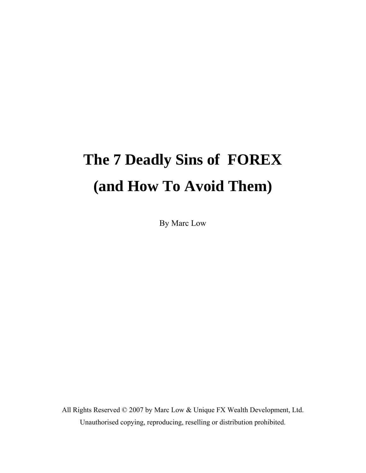# **The 7 Deadly Sins of FOREX (and How To Avoid Them)**

By Marc Low

All Rights Reserved © 2007 by Marc Low & Unique FX Wealth Development, Ltd. Unauthorised copying, reproducing, reselling or distribution prohibited.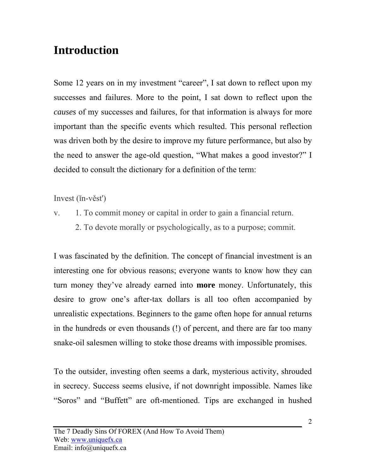#### **Introduction**

Some 12 years on in my investment "career", I sat down to reflect upon my successes and failures. More to the point, I sat down to reflect upon the *causes* of my successes and failures, for that information is always for more important than the specific events which resulted. This personal reflection was driven both by the desire to improve my future performance, but also by the need to answer the age-old question, "What makes a good investor?" I decided to consult the dictionary for a definition of the term:

Invest (ĭn-věst')

- v. 1. To commit money or capital in order to gain a financial return.
	- 2. To devote morally or psychologically, as to a purpose; commit.

I was fascinated by the definition. The concept of financial investment is an interesting one for obvious reasons; everyone wants to know how they can turn money they've already earned into **more** money. Unfortunately, this desire to grow one's after-tax dollars is all too often accompanied by unrealistic expectations. Beginners to the game often hope for annual returns in the hundreds or even thousands (!) of percent, and there are far too many snake-oil salesmen willing to stoke those dreams with impossible promises.

To the outsider, investing often seems a dark, mysterious activity, shrouded in secrecy. Success seems elusive, if not downright impossible. Names like "Soros" and "Buffett" are oft-mentioned. Tips are exchanged in hushed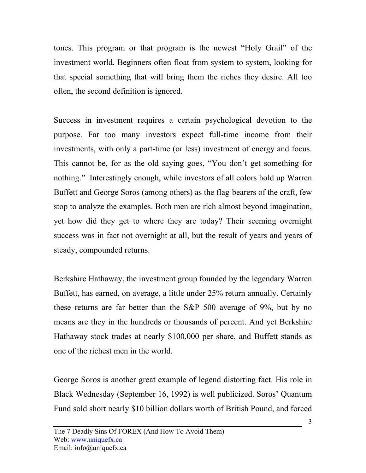tones. This program or that program is the newest "Holy Grail" of the investment world. Beginners often float from system to system, looking for that special something that will bring them the riches they desire. All too often, the second definition is ignored.

Success in investment requires a certain psychological devotion to the purpose. Far too many investors expect full-time income from their investments, with only a part-time (or less) investment of energy and focus. This cannot be, for as the old saying goes, "You don't get something for nothing." Interestingly enough, while investors of all colors hold up Warren Buffett and George Soros (among others) as the flag-bearers of the craft, few stop to analyze the examples. Both men are rich almost beyond imagination, yet how did they get to where they are today? Their seeming overnight success was in fact not overnight at all, but the result of years and years of steady, compounded returns.

Berkshire Hathaway, the investment group founded by the legendary Warren Buffett, has earned, on average, a little under 25% return annually. Certainly these returns are far better than the S&P 500 average of 9%, but by no means are they in the hundreds or thousands of percent. And yet Berkshire Hathaway stock trades at nearly \$100,000 per share, and Buffett stands as one of the richest men in the world.

George Soros is another great example of legend distorting fact. His role in Black Wednesday (September 16, 1992) is well publicized. Soros' Quantum Fund sold short nearly \$10 billion dollars worth of British Pound, and forced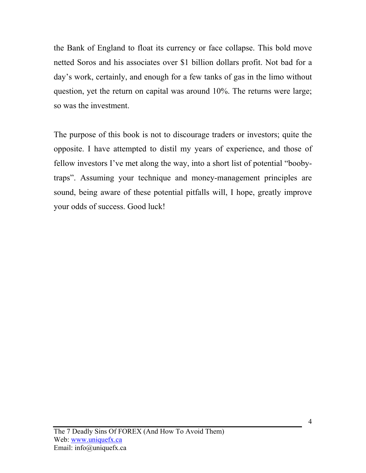the Bank of England to float its currency or face collapse. This bold move netted Soros and his associates over \$1 billion dollars profit. Not bad for a day's work, certainly, and enough for a few tanks of gas in the limo without question, yet the return on capital was around 10%. The returns were large; so was the investment.

The purpose of this book is not to discourage traders or investors; quite the opposite. I have attempted to distil my years of experience, and those of fellow investors I've met along the way, into a short list of potential "boobytraps". Assuming your technique and money-management principles are sound, being aware of these potential pitfalls will, I hope, greatly improve your odds of success. Good luck!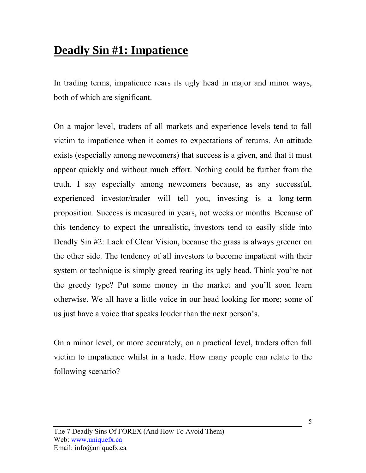#### **Deadly Sin #1: Impatience**

In trading terms, impatience rears its ugly head in major and minor ways, both of which are significant.

On a major level, traders of all markets and experience levels tend to fall victim to impatience when it comes to expectations of returns. An attitude exists (especially among newcomers) that success is a given, and that it must appear quickly and without much effort. Nothing could be further from the truth. I say especially among newcomers because, as any successful, experienced investor/trader will tell you, investing is a long-term proposition. Success is measured in years, not weeks or months. Because of this tendency to expect the unrealistic, investors tend to easily slide into Deadly Sin #2: Lack of Clear Vision, because the grass is always greener on the other side. The tendency of all investors to become impatient with their system or technique is simply greed rearing its ugly head. Think you're not the greedy type? Put some money in the market and you'll soon learn otherwise. We all have a little voice in our head looking for more; some of us just have a voice that speaks louder than the next person's.

On a minor level, or more accurately, on a practical level, traders often fall victim to impatience whilst in a trade. How many people can relate to the following scenario?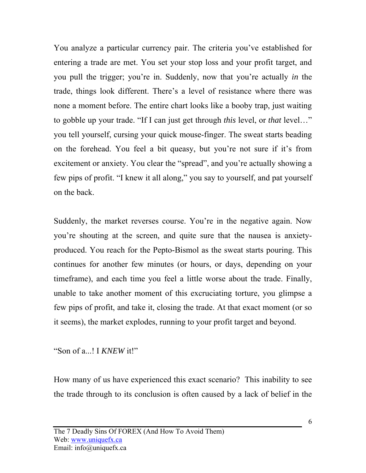You analyze a particular currency pair. The criteria you've established for entering a trade are met. You set your stop loss and your profit target, and you pull the trigger; you're in. Suddenly, now that you're actually *in* the trade, things look different. There's a level of resistance where there was none a moment before. The entire chart looks like a booby trap, just waiting to gobble up your trade. "If I can just get through *this* level, or *that* level…" you tell yourself, cursing your quick mouse-finger. The sweat starts beading on the forehead. You feel a bit queasy, but you're not sure if it's from excitement or anxiety. You clear the "spread", and you're actually showing a few pips of profit. "I knew it all along," you say to yourself, and pat yourself on the back.

Suddenly, the market reverses course. You're in the negative again. Now you're shouting at the screen, and quite sure that the nausea is anxietyproduced. You reach for the Pepto-Bismol as the sweat starts pouring. This continues for another few minutes (or hours, or days, depending on your timeframe), and each time you feel a little worse about the trade. Finally, unable to take another moment of this excruciating torture, you glimpse a few pips of profit, and take it, closing the trade. At that exact moment (or so it seems), the market explodes, running to your profit target and beyond.

"Son of a...! I *KNEW* it!"

How many of us have experienced this exact scenario? This inability to see the trade through to its conclusion is often caused by a lack of belief in the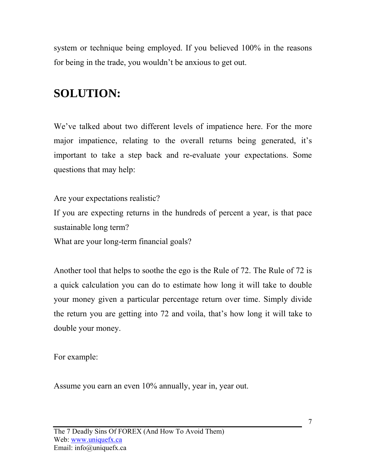system or technique being employed. If you believed 100% in the reasons for being in the trade, you wouldn't be anxious to get out.

### **SOLUTION:**

We've talked about two different levels of impatience here. For the more major impatience, relating to the overall returns being generated, it's important to take a step back and re-evaluate your expectations. Some questions that may help:

Are your expectations realistic?

If you are expecting returns in the hundreds of percent a year, is that pace sustainable long term?

What are your long-term financial goals?

Another tool that helps to soothe the ego is the Rule of 72. The Rule of 72 is a quick calculation you can do to estimate how long it will take to double your money given a particular percentage return over time. Simply divide the return you are getting into 72 and voila, that's how long it will take to double your money.

For example:

Assume you earn an even 10% annually, year in, year out.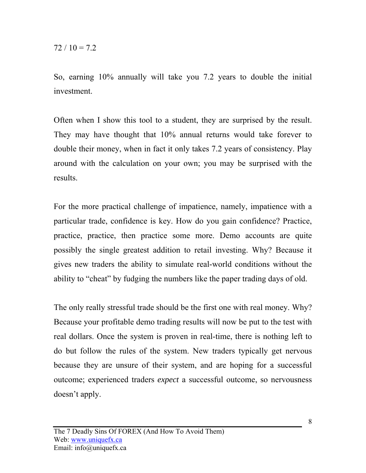So, earning 10% annually will take you 7.2 years to double the initial investment.

Often when I show this tool to a student, they are surprised by the result. They may have thought that 10% annual returns would take forever to double their money, when in fact it only takes 7.2 years of consistency. Play around with the calculation on your own; you may be surprised with the results.

For the more practical challenge of impatience, namely, impatience with a particular trade, confidence is key. How do you gain confidence? Practice, practice, practice, then practice some more. Demo accounts are quite possibly the single greatest addition to retail investing. Why? Because it gives new traders the ability to simulate real-world conditions without the ability to "cheat" by fudging the numbers like the paper trading days of old.

The only really stressful trade should be the first one with real money. Why? Because your profitable demo trading results will now be put to the test with real dollars. Once the system is proven in real-time, there is nothing left to do but follow the rules of the system. New traders typically get nervous because they are unsure of their system, and are hoping for a successful outcome; experienced traders *expect* a successful outcome, so nervousness doesn't apply.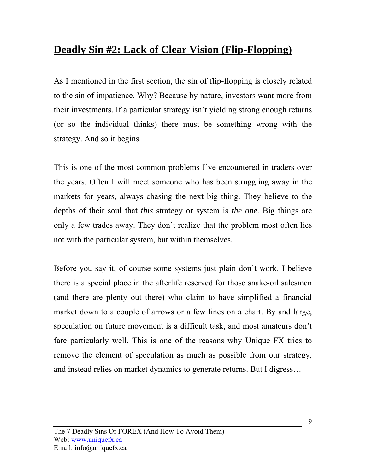#### **Deadly Sin #2: Lack of Clear Vision (Flip-Flopping)**

As I mentioned in the first section, the sin of flip-flopping is closely related to the sin of impatience. Why? Because by nature, investors want more from their investments. If a particular strategy isn't yielding strong enough returns (or so the individual thinks) there must be something wrong with the strategy. And so it begins.

This is one of the most common problems I've encountered in traders over the years. Often I will meet someone who has been struggling away in the markets for years, always chasing the next big thing. They believe to the depths of their soul that *this* strategy or system is *the one*. Big things are only a few trades away. They don't realize that the problem most often lies not with the particular system, but within themselves.

Before you say it, of course some systems just plain don't work. I believe there is a special place in the afterlife reserved for those snake-oil salesmen (and there are plenty out there) who claim to have simplified a financial market down to a couple of arrows or a few lines on a chart. By and large, speculation on future movement is a difficult task, and most amateurs don't fare particularly well. This is one of the reasons why Unique FX tries to remove the element of speculation as much as possible from our strategy, and instead relies on market dynamics to generate returns. But I digress…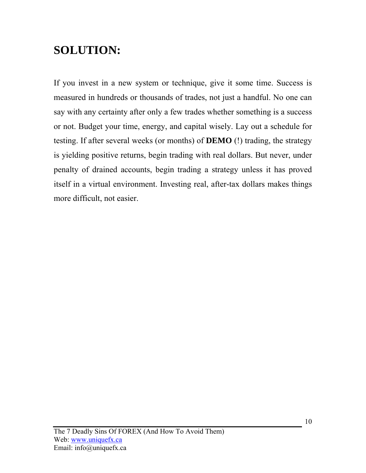#### **SOLUTION:**

If you invest in a new system or technique, give it some time. Success is measured in hundreds or thousands of trades, not just a handful. No one can say with any certainty after only a few trades whether something is a success or not. Budget your time, energy, and capital wisely. Lay out a schedule for testing. If after several weeks (or months) of **DEMO** (!) trading, the strategy is yielding positive returns, begin trading with real dollars. But never, under penalty of drained accounts, begin trading a strategy unless it has proved itself in a virtual environment. Investing real, after-tax dollars makes things more difficult, not easier.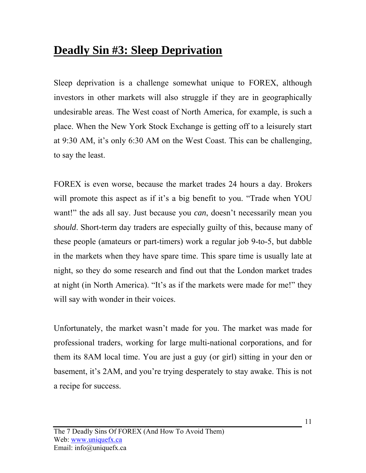#### **Deadly Sin #3: Sleep Deprivation**

Sleep deprivation is a challenge somewhat unique to FOREX, although investors in other markets will also struggle if they are in geographically undesirable areas. The West coast of North America, for example, is such a place. When the New York Stock Exchange is getting off to a leisurely start at 9:30 AM, it's only 6:30 AM on the West Coast. This can be challenging, to say the least.

FOREX is even worse, because the market trades 24 hours a day. Brokers will promote this aspect as if it's a big benefit to you. "Trade when YOU want!" the ads all say. Just because you *can*, doesn't necessarily mean you *should*. Short-term day traders are especially guilty of this, because many of these people (amateurs or part-timers) work a regular job 9-to-5, but dabble in the markets when they have spare time. This spare time is usually late at night, so they do some research and find out that the London market trades at night (in North America). "It's as if the markets were made for me!" they will say with wonder in their voices.

Unfortunately, the market wasn't made for you. The market was made for professional traders, working for large multi-national corporations, and for them its 8AM local time. You are just a guy (or girl) sitting in your den or basement, it's 2AM, and you're trying desperately to stay awake. This is not a recipe for success.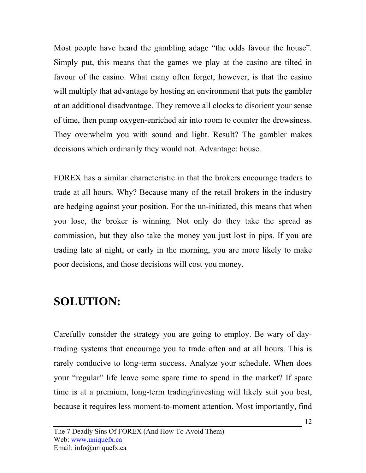Most people have heard the gambling adage "the odds favour the house". Simply put, this means that the games we play at the casino are tilted in favour of the casino. What many often forget, however, is that the casino will multiply that advantage by hosting an environment that puts the gambler at an additional disadvantage. They remove all clocks to disorient your sense of time, then pump oxygen-enriched air into room to counter the drowsiness. They overwhelm you with sound and light. Result? The gambler makes decisions which ordinarily they would not. Advantage: house.

FOREX has a similar characteristic in that the brokers encourage traders to trade at all hours. Why? Because many of the retail brokers in the industry are hedging against your position. For the un-initiated, this means that when you lose, the broker is winning. Not only do they take the spread as commission, but they also take the money you just lost in pips. If you are trading late at night, or early in the morning, you are more likely to make poor decisions, and those decisions will cost you money.

#### **SOLUTION:**

Carefully consider the strategy you are going to employ. Be wary of daytrading systems that encourage you to trade often and at all hours. This is rarely conducive to long-term success. Analyze your schedule. When does your "regular" life leave some spare time to spend in the market? If spare time is at a premium, long-term trading/investing will likely suit you best, because it requires less moment-to-moment attention. Most importantly, find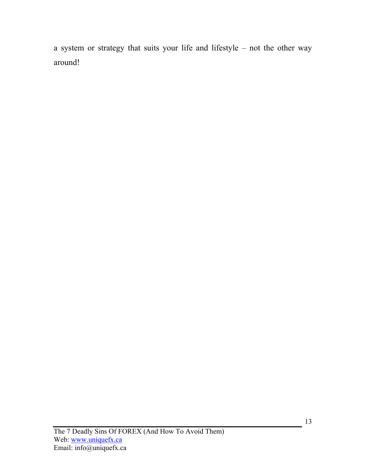a system or strategy that suits your life and lifestyle – not the other way around!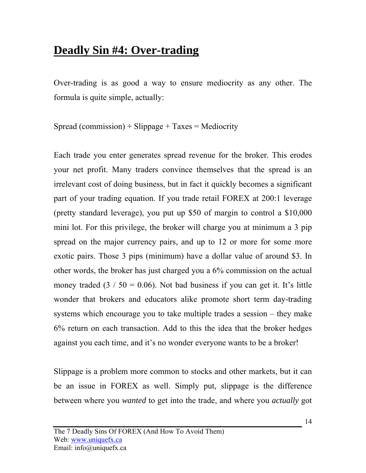#### **Deadly Sin #4: Over-trading**

Over-trading is as good a way to ensure mediocrity as any other. The formula is quite simple, actually:

 $Spread (commission) + Slippage + Taxes = Mediocript$ 

Each trade you enter generates spread revenue for the broker. This erodes your net profit. Many traders convince themselves that the spread is an irrelevant cost of doing business, but in fact it quickly becomes a significant part of your trading equation. If you trade retail FOREX at 200:1 leverage (pretty standard leverage), you put up \$50 of margin to control a \$10,000 mini lot. For this privilege, the broker will charge you at minimum a 3 pip spread on the major currency pairs, and up to 12 or more for some more exotic pairs. Those 3 pips (minimum) have a dollar value of around \$3. In other words, the broker has just charged you a 6% commission on the actual money traded  $(3 / 50 = 0.06)$ . Not bad business if you can get it. It's little wonder that brokers and educators alike promote short term day-trading systems which encourage you to take multiple trades a session – they make 6% return on each transaction. Add to this the idea that the broker hedges against you each time, and it's no wonder everyone wants to be a broker!

Slippage is a problem more common to stocks and other markets, but it can be an issue in FOREX as well. Simply put, slippage is the difference between where you *wanted* to get into the trade, and where you *actually* got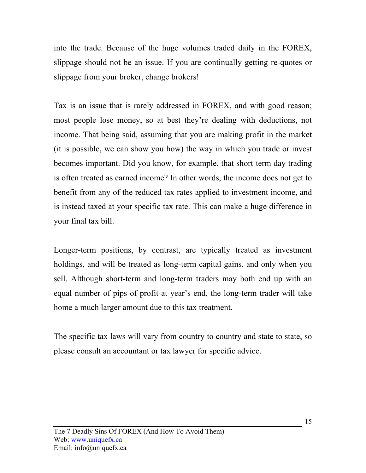into the trade. Because of the huge volumes traded daily in the FOREX, slippage should not be an issue. If you are continually getting re-quotes or slippage from your broker, change brokers!

Tax is an issue that is rarely addressed in FOREX, and with good reason; most people lose money, so at best they're dealing with deductions, not income. That being said, assuming that you are making profit in the market (it is possible, we can show you how) the way in which you trade or invest becomes important. Did you know, for example, that short-term day trading is often treated as earned income? In other words, the income does not get to benefit from any of the reduced tax rates applied to investment income, and is instead taxed at your specific tax rate. This can make a huge difference in your final tax bill.

Longer-term positions, by contrast, are typically treated as investment holdings, and will be treated as long-term capital gains, and only when you sell. Although short-term and long-term traders may both end up with an equal number of pips of profit at year's end, the long-term trader will take home a much larger amount due to this tax treatment.

The specific tax laws will vary from country to country and state to state, so please consult an accountant or tax lawyer for specific advice.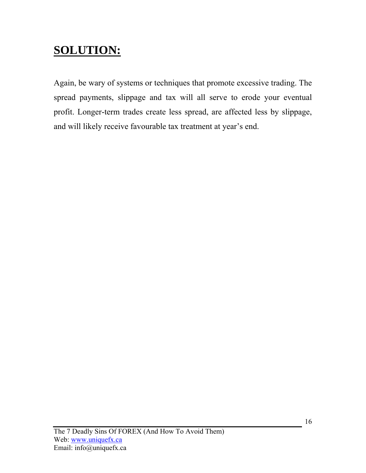### **SOLUTION:**

Again, be wary of systems or techniques that promote excessive trading. The spread payments, slippage and tax will all serve to erode your eventual profit. Longer-term trades create less spread, are affected less by slippage, and will likely receive favourable tax treatment at year's end.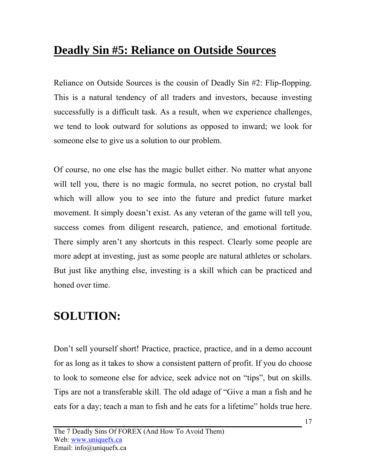### **Deadly Sin #5: Reliance on Outside Sources**

Reliance on Outside Sources is the cousin of Deadly Sin #2: Flip-flopping. This is a natural tendency of all traders and investors, because investing successfully is a difficult task. As a result, when we experience challenges, we tend to look outward for solutions as opposed to inward; we look for someone else to give us a solution to our problem.

Of course, no one else has the magic bullet either. No matter what anyone will tell you, there is no magic formula, no secret potion, no crystal ball which will allow you to see into the future and predict future market movement. It simply doesn't exist. As any veteran of the game will tell you, success comes from diligent research, patience, and emotional fortitude. There simply aren't any shortcuts in this respect. Clearly some people are more adept at investing, just as some people are natural athletes or scholars. But just like anything else, investing is a skill which can be practiced and honed over time.

#### **SOLUTION:**

Don't sell yourself short! Practice, practice, practice, and in a demo account for as long as it takes to show a consistent pattern of profit. If you do choose to look to someone else for advice, seek advice not on "tips", but on skills. Tips are not a transferable skill. The old adage of "Give a man a fish and he eats for a day; teach a man to fish and he eats for a lifetime" holds true here.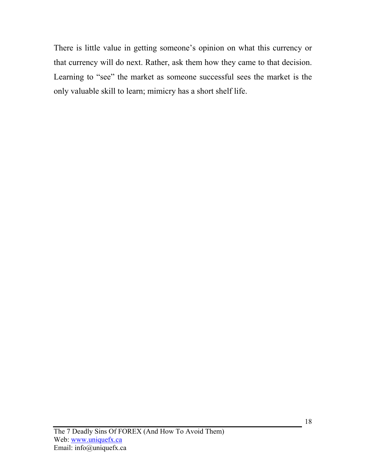There is little value in getting someone's opinion on what this currency or that currency will do next. Rather, ask them how they came to that decision. Learning to "see" the market as someone successful sees the market is the only valuable skill to learn; mimicry has a short shelf life.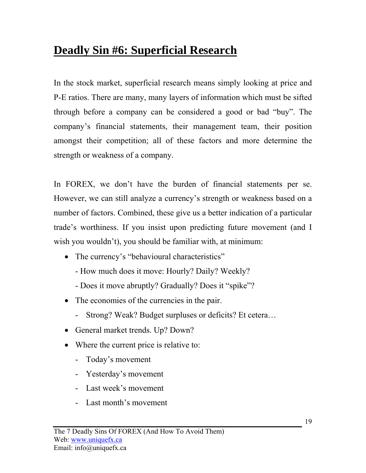### **Deadly Sin #6: Superficial Research**

In the stock market, superficial research means simply looking at price and P-E ratios. There are many, many layers of information which must be sifted through before a company can be considered a good or bad "buy". The company's financial statements, their management team, their position amongst their competition; all of these factors and more determine the strength or weakness of a company.

In FOREX, we don't have the burden of financial statements per se. However, we can still analyze a currency's strength or weakness based on a number of factors. Combined, these give us a better indication of a particular trade's worthiness. If you insist upon predicting future movement (and I wish you wouldn't), you should be familiar with, at minimum:

- The currency's "behavioural characteristics"
	- How much does it move: Hourly? Daily? Weekly?
	- Does it move abruptly? Gradually? Does it "spike"?
- The economies of the currencies in the pair.
	- Strong? Weak? Budget surpluses or deficits? Et cetera…
- General market trends. Up? Down?
- Where the current price is relative to:
	- Today's movement
	- Yesterday's movement
	- Last week's movement
	- Last month's movement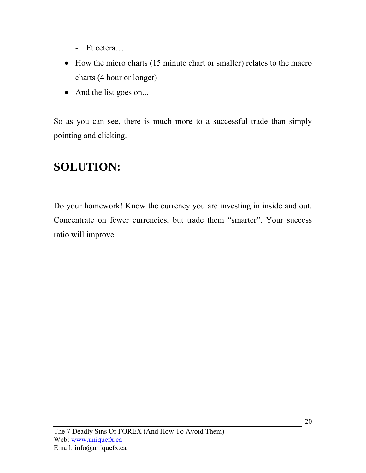- Et cetera…
- How the micro charts (15 minute chart or smaller) relates to the macro charts (4 hour or longer)
- And the list goes on...

So as you can see, there is much more to a successful trade than simply pointing and clicking.

#### **SOLUTION:**

Do your homework! Know the currency you are investing in inside and out. Concentrate on fewer currencies, but trade them "smarter". Your success ratio will improve.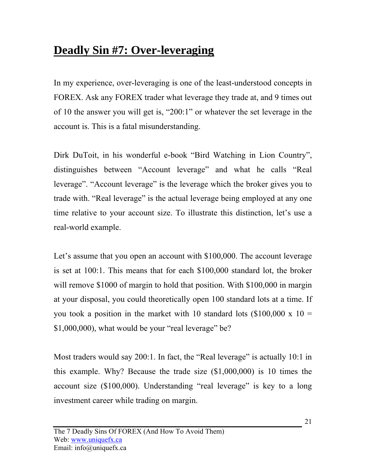### **Deadly Sin #7: Over-leveraging**

In my experience, over-leveraging is one of the least-understood concepts in FOREX. Ask any FOREX trader what leverage they trade at, and 9 times out of 10 the answer you will get is, "200:1" or whatever the set leverage in the account is. This is a fatal misunderstanding.

Dirk DuToit, in his wonderful e-book "Bird Watching in Lion Country", distinguishes between "Account leverage" and what he calls "Real leverage". "Account leverage" is the leverage which the broker gives you to trade with. "Real leverage" is the actual leverage being employed at any one time relative to your account size. To illustrate this distinction, let's use a real-world example.

Let's assume that you open an account with \$100,000. The account leverage is set at 100:1. This means that for each \$100,000 standard lot, the broker will remove \$1000 of margin to hold that position. With \$100,000 in margin at your disposal, you could theoretically open 100 standard lots at a time. If you took a position in the market with 10 standard lots  $(\$100,000 \times 10 =$  $$1,000,000$ , what would be your "real leverage" be?

Most traders would say 200:1. In fact, the "Real leverage" is actually 10:1 in this example. Why? Because the trade size (\$1,000,000) is 10 times the account size (\$100,000). Understanding "real leverage" is key to a long investment career while trading on margin.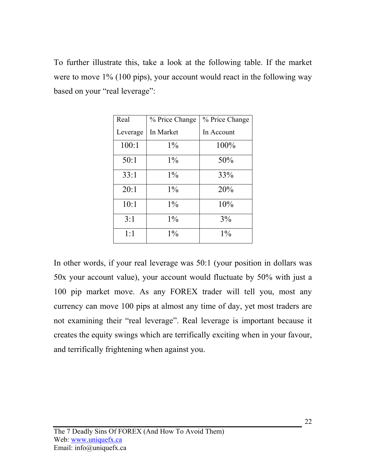To further illustrate this, take a look at the following table. If the market were to move 1% (100 pips), your account would react in the following way based on your "real leverage":

| Real     | % Price Change | % Price Change |
|----------|----------------|----------------|
| Leverage | In Market      | In Account     |
| 100:1    | $1\%$          | 100%           |
| 50:1     | $1\%$          | 50%            |
| 33:1     | $1\%$          | 33%            |
| 20:1     | $1\%$          | 20%            |
| 10:1     | $1\%$          | 10%            |
| 3:1      | $1\%$          | 3%             |
| 1:1      | $1\%$          | $1\%$          |

In other words, if your real leverage was 50:1 (your position in dollars was 50x your account value), your account would fluctuate by 50% with just a 100 pip market move. As any FOREX trader will tell you, most any currency can move 100 pips at almost any time of day, yet most traders are not examining their "real leverage". Real leverage is important because it creates the equity swings which are terrifically exciting when in your favour, and terrifically frightening when against you.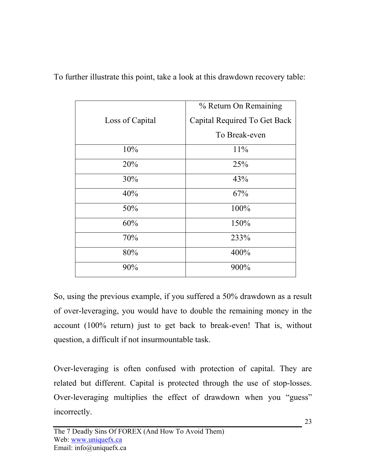|                 | % Return On Remaining        |
|-----------------|------------------------------|
| Loss of Capital | Capital Required To Get Back |
|                 | To Break-even                |
| 10%             | 11%                          |
| 20%             | 25%                          |
| 30%             | 43%                          |
| 40%             | 67%                          |
| 50%             | 100%                         |
| 60%             | 150%                         |
| 70%             | 233%                         |
| 80%             | 400%                         |
| 90%             | 900%                         |

To further illustrate this point, take a look at this drawdown recovery table:

So, using the previous example, if you suffered a 50% drawdown as a result of over-leveraging, you would have to double the remaining money in the account (100% return) just to get back to break-even! That is, without question, a difficult if not insurmountable task.

Over-leveraging is often confused with protection of capital. They are related but different. Capital is protected through the use of stop-losses. Over-leveraging multiplies the effect of drawdown when you "guess" incorrectly.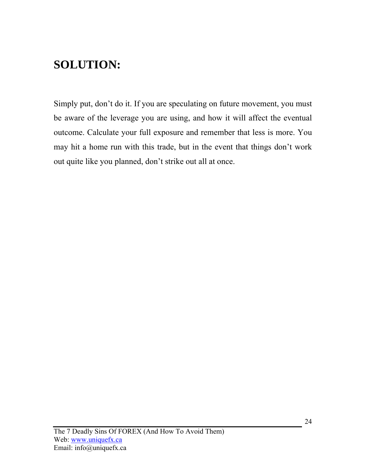#### **SOLUTION:**

Simply put, don't do it. If you are speculating on future movement, you must be aware of the leverage you are using, and how it will affect the eventual outcome. Calculate your full exposure and remember that less is more. You may hit a home run with this trade, but in the event that things don't work out quite like you planned, don't strike out all at once.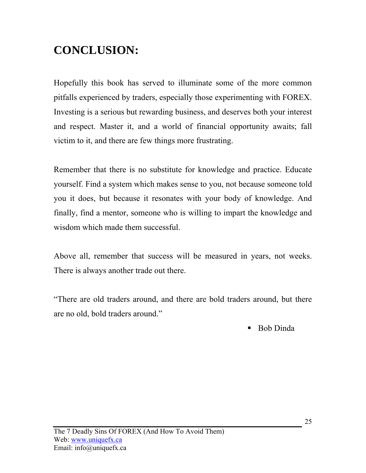#### **CONCLUSION:**

Hopefully this book has served to illuminate some of the more common pitfalls experienced by traders, especially those experimenting with FOREX. Investing is a serious but rewarding business, and deserves both your interest and respect. Master it, and a world of financial opportunity awaits; fall victim to it, and there are few things more frustrating.

Remember that there is no substitute for knowledge and practice. Educate yourself. Find a system which makes sense to you, not because someone told you it does, but because it resonates with your body of knowledge. And finally, find a mentor, someone who is willing to impart the knowledge and wisdom which made them successful.

Above all, remember that success will be measured in years, not weeks. There is always another trade out there.

"There are old traders around, and there are bold traders around, but there are no old, bold traders around."

■ Bob Dinda